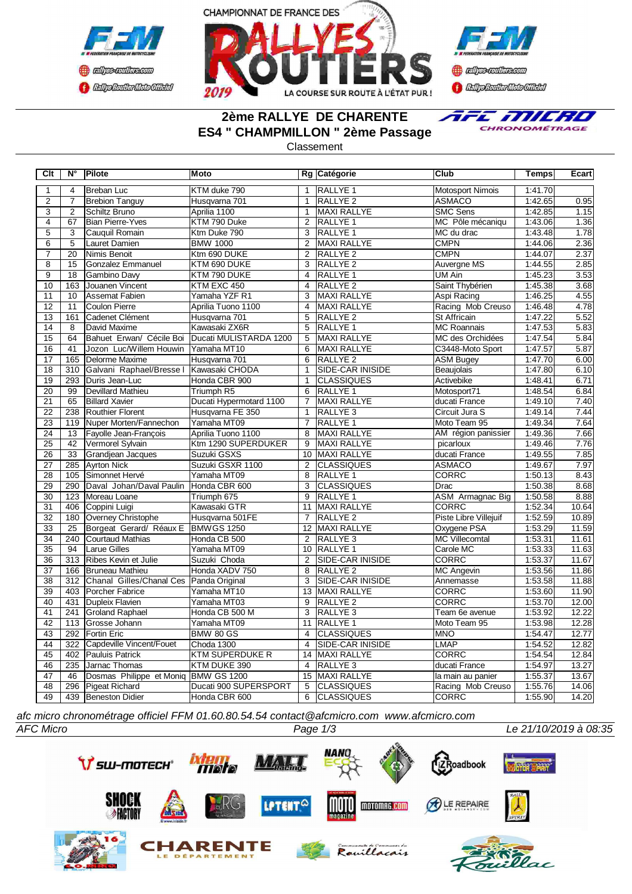





# **2ème RALLYE DE CHARENTE ES4 " CHAMPMILLON " 2ème Passage**



Classement

| Clt             | N°               | Pilote                               | Moto                    |                 | Rg Catégorie            | <b>Club</b>             | <b>Temps</b> | Ecart |
|-----------------|------------------|--------------------------------------|-------------------------|-----------------|-------------------------|-------------------------|--------------|-------|
| $\mathbf{1}$    | $\overline{4}$   | Breban Luc                           | KTM duke 790            | $\mathbf{1}$    | RALLYE <sub>1</sub>     | Motosport Nimois        | 1:41.70      |       |
| $\overline{2}$  | $\overline{7}$   | <b>Brebion Tanguy</b>                | Husqvarna 701           | $\mathbf{1}$    | RALLYE <sub>2</sub>     | <b>ASMACO</b>           | 1:42.65      | 0.95  |
| $\overline{3}$  | $\overline{2}$   | Schiltz Bruno                        | Aprilia 1100            | $\mathbf{1}$    | <b>MAXI RALLYE</b>      | <b>SMC Sens</b>         | 1:42.85      | 1.15  |
| $\overline{4}$  | 67               | Bian Pierre-Yves                     | KTM 790 Duke            | $\overline{2}$  | RALLYE 1                | MC Pôle mécaniqu        | 1:43.06      | 1.36  |
| $\overline{5}$  | $\overline{3}$   | Cauquil Romain                       | Ktm Duke 790            | 3               | <b>RALLYE 1</b>         | MC du drac              | 1:43.48      | 1.78  |
| $\overline{6}$  | $\overline{5}$   | Lauret Damien                        | <b>BMW 1000</b>         | $\overline{2}$  | <b>MAXI RALLYE</b>      | <b>CMPN</b>             | 1:44.06      | 2.36  |
| $\overline{7}$  | 20               | Nimis Benoit                         | Ktm 690 DUKE            | $\overline{2}$  | RALLYE <sub>2</sub>     | <b>CMPN</b>             | 1:44.07      | 2.37  |
| $\overline{8}$  | 15               | <b>Gonzalez Emmanuel</b>             | KTM 690 DUKE            | 3               | RALLYE <sub>2</sub>     | Auvergne MS             | 1:44.55      | 2.85  |
| 9               | 18               | Gambino Davy                         | KTM 790 DUKE            | 4               | <b>RALLYE 1</b>         | UM Ain                  | 1:45.23      | 3.53  |
| 10              | 163              | Jouanen Vincent                      | KTM EXC 450             | $\overline{4}$  | RALLYE <sub>2</sub>     | Saint Thybérien         | 1:45.38      | 3.68  |
| 11              | 10               | <b>Assemat Fabien</b>                | Yamaha YZF R1           | 3               | MAXI RALLYE             | Aspi Racing             | 1:46.25      | 4.55  |
| 12              | 11               | Coulon Pierre                        | Aprilia Tuono 1100      | $\overline{4}$  | <b>MAXI RALLYE</b>      | Racing Mob Creuso       | 1:46.48      | 4.78  |
| 13              | 161              | Cadenet Clément                      | Husqvarna 701           | 5               | <b>RALLYE 2</b>         | St Affricain            | 1:47.22      | 5.52  |
| 14              | 8                | David Maxime                         | Kawasaki ZX6R           | 5               | <b>IRALLYE 1</b>        | <b>MC Roannais</b>      | 1:47.53      | 5.83  |
| $\overline{15}$ | 64               | Bahuet Erwan/ Cécile Boi             | Ducati MULISTARDA 1200  | $\overline{5}$  | <b>MAXI RALLYE</b>      | MC des Orchidées        | 1:47.54      | 5.84  |
| $\overline{16}$ | 41               | Jozon Luc/Willem Houwin              | Yamaha MT10             | 6               | <b>MAXI RALLYE</b>      | C3448-Moto Sport        | 1:47.57      | 5.87  |
| 17              | 165              | Delorme Maxime                       | Husqvarna 701           | 6               | RALLYE <sub>2</sub>     | <b>ASM Bugey</b>        | 1:47.70      | 6.00  |
| 18              | 310              | Galvani Raphael/Bresse I             | Kawasaki CHODA          | $\mathbf{1}$    | <b>SIDE-CAR INISIDE</b> | Beaujolais              | 1:47.80      | 6.10  |
| $\overline{19}$ | 293              | Duris Jean-Luc                       | Honda CBR 900           | $\mathbf{1}$    | <b>CLASSIQUES</b>       | Activebike              | 1:48.41      | 6.71  |
| 20              | 99               | Devillard Mathieu                    | Triumph R5              | 6               | <b>RALLYE 1</b>         | Motosport71             | 1:48.54      | 6.84  |
| $\overline{21}$ | 65               | <b>Billard Xavier</b>                | Ducati Hypermotard 1100 | $\overline{7}$  | <b>MAXI RALLYE</b>      | ducati France           | 1:49.10      | 7.40  |
| $\overline{22}$ | 238              | Routhier Florent                     | Husqvarna FE 350        | $\mathbf{1}$    | RALLYE <sub>3</sub>     | Circuit Jura S          | 1:49.14      | 7.44  |
| 23              | 119              | Nuper Morten/Fannechon               | Yamaha MT09             | $\overline{7}$  | <b>RALLYE 1</b>         | Moto Team 95            | 1:49.34      | 7.64  |
| $\overline{24}$ | 13               | Fayolle Jean-Francois                | Aprilia Tuono 1100      | 8               | <b>MAXI RALLYE</b>      | AM région panissier     | 1:49.36      | 7.66  |
| $\overline{25}$ | 42               | Vermorel Sylvain                     | Ktm 1290 SUPERDUKER     | 9               | <b>MAXI RALLYE</b>      | picarloux               | 1:49.46      | 7.76  |
| 26              | 33               | Grandjean Jacques                    | Suzuki GSXS             | 10              | MAXI RALLYE             | ducati France           | 1:49.55      | 7.85  |
| 27              | 285              | Ayrton Nick                          | Suzuki GSXR 1100        | 2               | <b>CLASSIQUES</b>       | <b>ASMACO</b>           | 1:49.67      | 7.97  |
| 28              | 105              | Simonnet Hervé                       | Yamaha MT09             | 8               | RALLYE 1                | CORRC                   | 1:50.13      | 8.43  |
| 29              | 290              | Daval Johan/Daval Paulin             | Honda CBR 600           | 3               | <b>CLASSIQUES</b>       | Drac                    | 1:50.38      | 8.68  |
| 30              | 123              | Moreau Loane                         | Triumph 675             | 9               | RALLYE 1                | <b>ASM</b> Armagnac Big | 1:50.58      | 8.88  |
| 31              | 406              | Coppini Luigi                        | Kawasaki GTR            | 11              | MAXI RALLYE             | <b>CORRC</b>            | 1:52.34      | 10.64 |
| 32              | 180              | Overney Christophe                   | Husqvarna 501FE         | 7               | <b>RALLYE 2</b>         | Piste Libre Villejuif   | 1:52.59      | 10.89 |
| 33              | $\overline{25}$  | Borgeat Gerard/ Réaux E              | <b>BMWGS 1250</b>       | $\overline{12}$ | <b>MAXI RALLYE</b>      | Oxygene PSA             | 1:53.29      | 11.59 |
| $\overline{34}$ | 240              | <b>Courtaud Mathias</b>              | Honda CB 500            | $\overline{2}$  | RALLYE <sub>3</sub>     | <b>MC</b> Villecomtal   | 1:53.31      | 11.61 |
| 35              | 94               | <b>Larue Gilles</b>                  | Yamaha MT09             | 10              | <b>RALLYE 1</b>         | Carole MC               | 1:53.33      | 11.63 |
| 36              | 313              | Ribes Kevin et Julie                 | Suzuki Choda            | $\overline{2}$  | SIDE-CAR INISIDE        | <b>CORRC</b>            | 1:53.37      | 11.67 |
| $\overline{37}$ | 166              | Bruneau Mathieu                      | Honda XADV 750          | 8               | RALLYE <sub>2</sub>     | <b>MC Angevin</b>       | 1:53.56      | 11.86 |
| $\overline{38}$ | $\overline{312}$ | Chanal Gilles/Chanal Ces             | Panda Original          | 3               | <b>SIDE-CAR INISIDE</b> | Annemasse               | 1:53.58      | 11.88 |
| 39              | 403              | <b>IPorcher Fabrice</b>              | Yamaha MT10             | 13              | MAXI RALLYE             | CORRC                   | 1:53.60      | 11.90 |
| 40              | 431              | Dupleix Flavien                      | Yamaha MT03             | 9               | <b>RALLYE 2</b>         | <b>CORRC</b>            | 1:53.70      | 12.00 |
| 41              | 241              | Groland Raphael                      | Honda CB 500 M          | 3               | RALLYE <sub>3</sub>     | Team 6e avenue          | 1:53.92      | 12.22 |
| 42              | 113              | Grosse Johann                        | Yamaha MT09             | 11              | RALLYE 1                | Moto Team 95            | 1:53.98      | 12.28 |
| 43              | 292              | Fortin Eric                          | <b>BMW 80 GS</b>        | $\overline{4}$  | <b>CLASSIQUES</b>       | <b>MNO</b>              | 1:54.47      | 12.77 |
| 44              | 322              | Capdeville Vincent/Fouet             | Choda 1300              | $\overline{4}$  | <b>SIDE-CAR INISIDE</b> | <b>LMAP</b>             | 1:54.52      | 12.82 |
| $\overline{45}$ | 402              | Pauluis Patrick                      | <b>KTM SUPERDUKE R</b>  |                 | 14 MAXI RALLYE          | <b>CORRC</b>            | 1:54.54      | 12.84 |
| 46              | 235              | Jarnac Thomas                        | KTM DUKE 390            | 4               | RALLYE <sub>3</sub>     | ducati France           | 1:54.97      | 13.27 |
| $\overline{47}$ | 46               | Dosmas Philippe et Moniq BMW GS 1200 |                         | 15              | MAXI RALLYE             | la main au panier       | 1:55.37      | 13.67 |
| 48              | 296              | Pigeat Richard                       | Ducati 900 SUPERSPORT   | $\overline{5}$  | <b>CLASSIQUES</b>       | Racing Mob Creuso       | 1:55.76      | 14.06 |
| 49              | 439              | Beneston Didier                      | Honda CBR 600           | 6               | <b>CLASSIQUES</b>       | <b>CORRC</b>            | 1:55.90      | 14.20 |

*afc micro chronométrage officiel FFM 01.60.80.54.54 contact@afcmicro.com www.afcmicro.com*

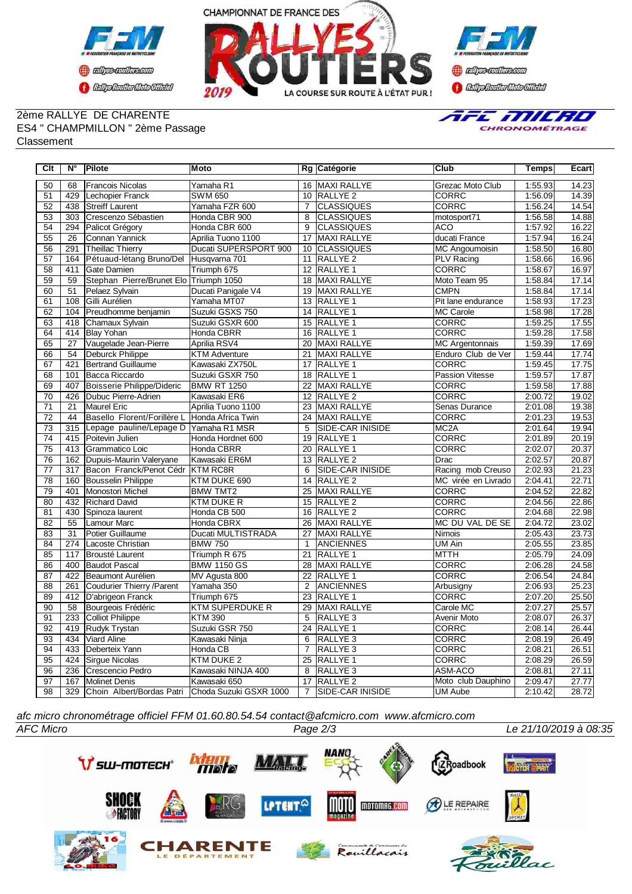



#### 2ème RALLYE DE CHARENTE ES4 " CHAMPMILLON " 2ème Passage **Classement**



| Clt             | $N^{\circ}$     | Pilote                                 | Moto                   |                 | Rg Catégorie            | Club                   | <b>Temps</b> | Ecart |
|-----------------|-----------------|----------------------------------------|------------------------|-----------------|-------------------------|------------------------|--------------|-------|
| 50              | 68              | <b>Francois Nicolas</b>                | Yamaha R1              |                 | 16 MAXI RALLYE          | Grezac Moto Club       | 1:55.93      | 14.23 |
| 51              | 429             | Lechopier Franck                       | <b>SWM 650</b>         |                 | 10 RALLYE 2             | <b>CORRC</b>           | 1:56.09      | 14.39 |
| $\overline{52}$ | 438             | <b>Streiff Laurent</b>                 | Yamaha FZR 600         | $\overline{7}$  | <b>CLASSIQUES</b>       | <b>CORRC</b>           | 1:56.24      | 14.54 |
| 53              | 303             | Crescenzo Sébastien                    | Honda CBR 900          | 8               | <b>CLASSIQUES</b>       | motosport71            | 1:56.58      | 14.88 |
| $\overline{54}$ | 294             | Palicot Grégory                        | Honda CBR 600          | 9               | <b>CLASSIQUES</b>       | <b>ACO</b>             | 1:57.92      | 16.22 |
| 55              | 26              | Connan Yannick                         | Aprilia Tuono 1100     | 17              | MAXI RALLYE             | ducati France          | 1:57.94      | 16.24 |
| 56              | 291             | <b>Theillac Thierry</b>                | Ducati SUPERSPORT 900  | 10              | <b>CLASSIQUES</b>       | <b>MC Angoumoisin</b>  | 1:58.50      | 16.80 |
| 57              | 164             | Pétuaud-létang Bruno/Del               | Husqvarna 701          | 11              | <b>RALLYE 2</b>         | PLV Racing             | 1:58.66      | 16.96 |
| $\overline{58}$ | 411             | Gate Damien                            | Triumph 675            |                 | 12 RALLYE 1             | <b>CORRC</b>           | 1:58.67      | 16.97 |
| 59              | 59              | Stephan Pierre/Brunet Elo Triumph 1050 |                        | $\overline{18}$ | MAXI RALLYE             | Moto Team 95           | 1:58.84      | 17.14 |
| 60              | $\overline{51}$ | Pelaez Sylvain                         | Ducati Panigale V4     | 19              | <b>MAXI RALLYE</b>      | <b>CMPN</b>            | 1:58.84      | 17.14 |
| 61              | 108             | Gilli Aurélien                         | Yamaha MT07            | 13              | RALLYE <sub>1</sub>     | Pit lane endurance     | 1:58.93      | 17.23 |
| 62              | 104             | Preudhomme benjamin                    | Suzuki GSXS 750        | 14              | <b>RALLYE 1</b>         | <b>MC Carole</b>       | 1:58.98      | 17.28 |
| 63              | 418             | Chamaux Sylvain                        | Suzuki GSXR 600        | 15              | <b>RALLYE 1</b>         | <b>CORRC</b>           | 1:59.25      | 17.55 |
| 64              | 414             | Blay Yohan                             | Honda CBRR             | 16              | <b>RALLYE 1</b>         | CORRC                  | 1:59.28      | 17.58 |
| 65              | 27              | Vaugelade Jean-Pierre                  | Aprilia RSV4           | 20              | MAXI RALLYE             | MC Argentonnais        | 1:59.39      | 17.69 |
| 66              | 54              | Deburck Philippe                       | <b>KTM Adventure</b>   | 21              | MAXI RALLYE             | Enduro Club de Ver     | 1:59.44      | 17.74 |
| 67              | 421             | <b>Bertrand Guillaume</b>              | Kawasaki ZX750L        | 17              | <b>RALLYE 1</b>         | <b>CORRC</b>           | 1:59.45      | 17.75 |
| 68              | 101             | Bacca Riccardo                         | Suzuki GSXR 750        | 18              | <b>RALLYE 1</b>         | <b>Passion Vitesse</b> | 1:59.57      | 17.87 |
| 69              | 407             | <b>Boisserie Philippe/Dideric</b>      | <b>BMW RT 1250</b>     | 22              | MAXI RALLYE             | <b>CORRC</b>           | 1:59.58      | 17.88 |
| 70              | 426             | Dubuc Pierre-Adrien                    | Kawasaki ER6           | 12              | RALLYE <sub>2</sub>     | <b>CORRC</b>           | 2:00.72      | 19.02 |
| 71              | 21              | Maurel Eric                            | Aprilia Tuono 1100     | 23              | MAXI RALLYE             | Senas Durance          | 2:01.08      | 19.38 |
| $\overline{72}$ | 44              | Basello Florent/Forillère L            | Honda Africa Twin      | $\overline{24}$ | <b>MAXI RALLYE</b>      | <b>CORRC</b>           | 2:01.23      | 19.53 |
| 73              | 315             | Lepage pauline/Lepage D Yamaha R1 MSR  |                        | 5               | <b>SIDE-CAR INISIDE</b> | MC <sub>2</sub> A      | 2:01.64      | 19.94 |
| $\overline{74}$ | 415             | Poitevin Julien                        | Honda Hordnet 600      | 19              | <b>RALLYE 1</b>         | <b>CORRC</b>           | 2:01.89      | 20.19 |
| 75              | 413             | Grammatico Loic                        | Honda CBRR             |                 | 20 RALLYE 1             | <b>CORRC</b>           | 2:02.07      | 20.37 |
| 76              | 162             | Dupuis-Maurin Valeryane                | Kawasaki ER6M          |                 | 13 RALLYE 2             | Drac                   | 2:02.57      | 20.87 |
| $\overline{77}$ | 317             | Bacon Franck/Penot Cédr KTM RC8R       |                        | 6               | <b>SIDE-CAR INISIDE</b> | Racing mob Creuso      | 2:02.93      | 21.23 |
| $\overline{78}$ | 160             | <b>Bousselin Philippe</b>              | KTM DUKE 690           | 14              | RALLYE <sub>2</sub>     | MC virée en Livrado    | 2:04.41      | 22.71 |
| 79              | 401             | Monostori Michel                       | <b>BMW TMT2</b>        | 25              | MAXI RALLYE             | <b>CORRC</b>           | 2:04.52      | 22.82 |
| 80              | 432             | <b>Richard David</b>                   | <b>KTM DUKE R</b>      |                 | 15 RALLYE 2             | <b>CORRC</b>           | 2:04.56      | 22.86 |
| $\overline{81}$ | 430             | Spinoza laurent                        | Honda CB 500           |                 | 16 RALLYE 2             | <b>CORRC</b>           | 2:04.68      | 22.98 |
| 82              | 55              | Lamour Marc                            | Honda CBRX             | 26              | MAXI RALLYE             | MC DU VAL DE SE        | 2:04.72      | 23.02 |
| 83              | 31              | Potier Guillaume                       | Ducati MULTISTRADA     | 27              | MAXI RALLYE             | <b>Nimois</b>          | 2:05.43      | 23.73 |
| 84              | 274             | Lacoste Christian                      | <b>BMW 750</b>         | $\mathbf{1}$    | ANCIENNES               | <b>UM Ain</b>          | 2:05.55      | 23.85 |
| 85              | 117             | Brousté Laurent                        | Triumph R 675          | 21              | <b>RALLYE 1</b>         | <b>MTTH</b>            | 2:05.79      | 24.09 |
| 86              | 400             | Baudot Pascal                          | <b>BMW 1150 GS</b>     | $\overline{28}$ | <b>MAXI RALLYE</b>      | <b>CORRC</b>           | 2:06.28      | 24.58 |
| 87              | 422             | Beaumont Aurélien                      | MV Agusta 800          | 22              | <b>RALLYE 1</b>         | <b>CORRC</b>           | 2:06.54      | 24.84 |
| 88              | 261             | Coudurier Thierry / Parent             | Yamaha 350             | 2               | <b>ANCIENNES</b>        | Arbusigny              | 2:06.93      | 25.23 |
| 89              | 412             | D'abrigeon Franck                      | Triumph 675            | $\overline{23}$ | <b>RALLYE 1</b>         | <b>CORRC</b>           | 2:07.20      | 25.50 |
| $\overline{90}$ | $\overline{58}$ | Bourgeois Frédéric                     | <b>KTM SUPERDUKE R</b> | 29              | <b>MAXI RALLYE</b>      | Carole MC              | 2:07.27      | 25.57 |
| $\overline{91}$ | 233             | <b>Colliot Philippe</b>                | <b>KTM 390</b>         | 5               | RALLYE 3                | Avenir Moto            | 2:08.07      | 26.37 |
| $\overline{92}$ | 419             | Rudyk Trystan                          | Suzuki GSR 750         | 24              | RALLYE 1                | CORRC                  | 2:08.14      | 26.44 |
| 93              | 434             | Viard Aline                            | Kawasaki Ninja         | 6               | RALLYE <sub>3</sub>     | CORRC                  | 2:08.19      | 26.49 |
| 94              | 433             | Deberteix Yann                         | Honda CB               | $\overline{7}$  | RALLYE <sub>3</sub>     | <b>CORRC</b>           | 2:08.21      | 26.51 |
| 95              | 424             | <b>Sirgue Nicolas</b>                  | KTM DUKE 2             | 25              | RALLYE <sub>1</sub>     | <b>CORRC</b>           | 2:08.29      | 26.59 |
| 96              | 236             | Crescencio Pedro                       | Kawasaki NINJA 400     | 8               | RALLYE <sub>3</sub>     | ASM-ACO                | 2:08.81      | 27.11 |
| 97              | 167             | Molinet Denis                          | Kawasaki 650           | 17              | RALLYE <sub>2</sub>     | Moto club Dauphino     | 2:09.47      | 27.77 |
| 98              | 329             | Choin Albert/Bordas Patri              | Choda Suzuki GSXR 1000 | 7               | <b>SIDE-CAR INISIDE</b> | <b>UM Aube</b>         | 2:10.42      | 28.72 |

*afc micro chronométrage officiel FFM 01.60.80.54.54 contact@afcmicro.com www.afcmicro.com*